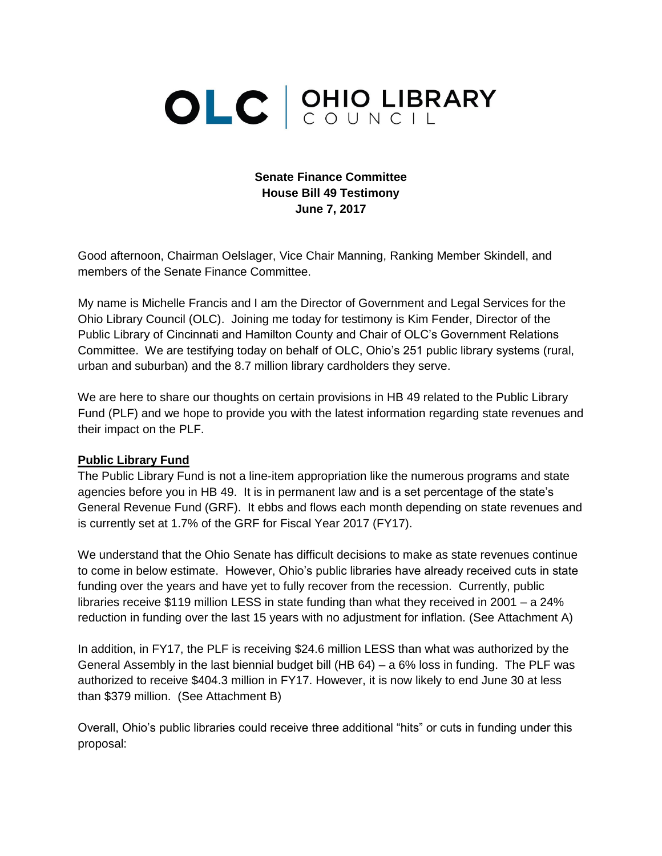# OLC CUNCIL

## **Senate Finance Committee House Bill 49 Testimony June 7, 2017**

Good afternoon, Chairman Oelslager, Vice Chair Manning, Ranking Member Skindell, and members of the Senate Finance Committee.

My name is Michelle Francis and I am the Director of Government and Legal Services for the Ohio Library Council (OLC). Joining me today for testimony is Kim Fender, Director of the Public Library of Cincinnati and Hamilton County and Chair of OLC's Government Relations Committee. We are testifying today on behalf of OLC, Ohio's 251 public library systems (rural, urban and suburban) and the 8.7 million library cardholders they serve.

We are here to share our thoughts on certain provisions in HB 49 related to the Public Library Fund (PLF) and we hope to provide you with the latest information regarding state revenues and their impact on the PLF.

#### **Public Library Fund**

The Public Library Fund is not a line-item appropriation like the numerous programs and state agencies before you in HB 49. It is in permanent law and is a set percentage of the state's General Revenue Fund (GRF). It ebbs and flows each month depending on state revenues and is currently set at 1.7% of the GRF for Fiscal Year 2017 (FY17).

We understand that the Ohio Senate has difficult decisions to make as state revenues continue to come in below estimate. However, Ohio's public libraries have already received cuts in state funding over the years and have yet to fully recover from the recession. Currently, public libraries receive \$119 million LESS in state funding than what they received in 2001 – a 24% reduction in funding over the last 15 years with no adjustment for inflation. (See Attachment A)

In addition, in FY17, the PLF is receiving \$24.6 million LESS than what was authorized by the General Assembly in the last biennial budget bill (HB 64) – a 6% loss in funding. The PLF was authorized to receive \$404.3 million in FY17. However, it is now likely to end June 30 at less than \$379 million. (See Attachment B)

Overall, Ohio's public libraries could receive three additional "hits" or cuts in funding under this proposal: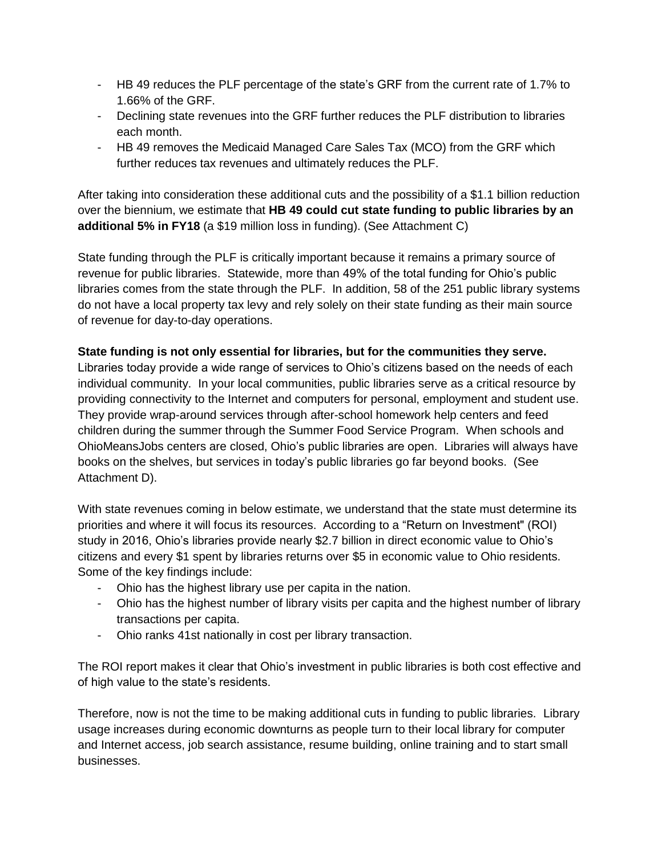- HB 49 reduces the PLF percentage of the state's GRF from the current rate of 1.7% to 1.66% of the GRF.
- Declining state revenues into the GRF further reduces the PLF distribution to libraries each month.
- HB 49 removes the Medicaid Managed Care Sales Tax (MCO) from the GRF which further reduces tax revenues and ultimately reduces the PLF.

After taking into consideration these additional cuts and the possibility of a \$1.1 billion reduction over the biennium, we estimate that **HB 49 could cut state funding to public libraries by an additional 5% in FY18** (a \$19 million loss in funding). (See Attachment C)

State funding through the PLF is critically important because it remains a primary source of revenue for public libraries. Statewide, more than 49% of the total funding for Ohio's public libraries comes from the state through the PLF. In addition, 58 of the 251 public library systems do not have a local property tax levy and rely solely on their state funding as their main source of revenue for day-to-day operations.

#### **State funding is not only essential for libraries, but for the communities they serve.**

Libraries today provide a wide range of services to Ohio's citizens based on the needs of each individual community. In your local communities, public libraries serve as a critical resource by providing connectivity to the Internet and computers for personal, employment and student use. They provide wrap-around services through after-school homework help centers and feed children during the summer through the Summer Food Service Program. When schools and OhioMeansJobs centers are closed, Ohio's public libraries are open. Libraries will always have books on the shelves, but services in today's public libraries go far beyond books. (See Attachment D).

With state revenues coming in below estimate, we understand that the state must determine its priorities and where it will focus its resources. According to a "Return on Investment" (ROI) study in 2016, Ohio's libraries provide nearly \$2.7 billion in direct economic value to Ohio's citizens and every \$1 spent by libraries returns over \$5 in economic value to Ohio residents. Some of the key findings include:

- Ohio has the highest library use per capita in the nation.
- Ohio has the highest number of library visits per capita and the highest number of library transactions per capita.
- Ohio ranks 41st nationally in cost per library transaction.

The ROI report makes it clear that Ohio's investment in public libraries is both cost effective and of high value to the state's residents.

Therefore, now is not the time to be making additional cuts in funding to public libraries. Library usage increases during economic downturns as people turn to their local library for computer and Internet access, job search assistance, resume building, online training and to start small businesses.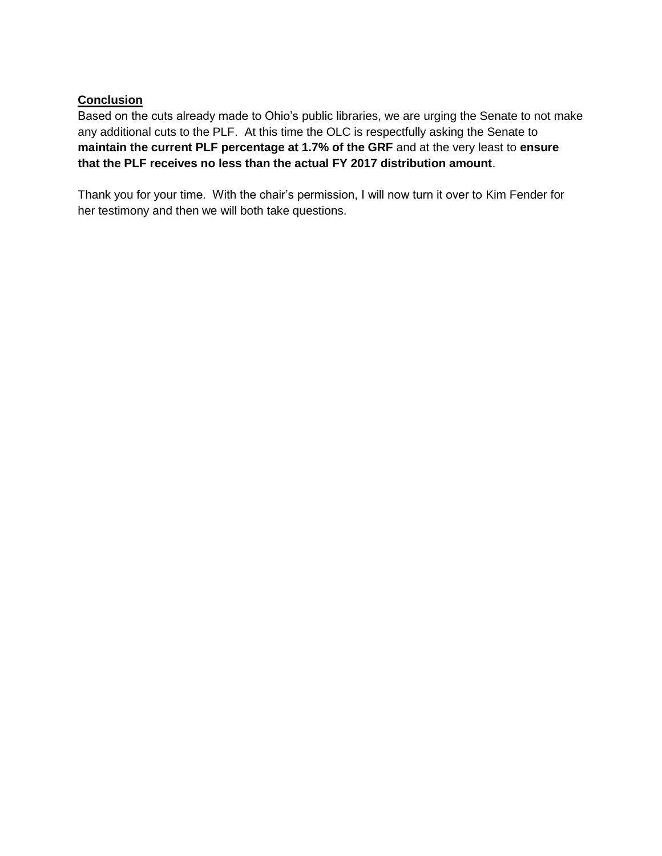### **Conclusion**

Based on the cuts already made to Ohio's public libraries, we are urging the Senate to not make any additional cuts to the PLF. At this time the OLC is respectfully asking the Senate to **maintain the current PLF percentage at 1.7% of the GRF** and at the very least to **ensure that the PLF receives no less than the actual FY 2017 distribution amount**.

Thank you for your time. With the chair's permission, I will now turn it over to Kim Fender for her testimony and then we will both take questions.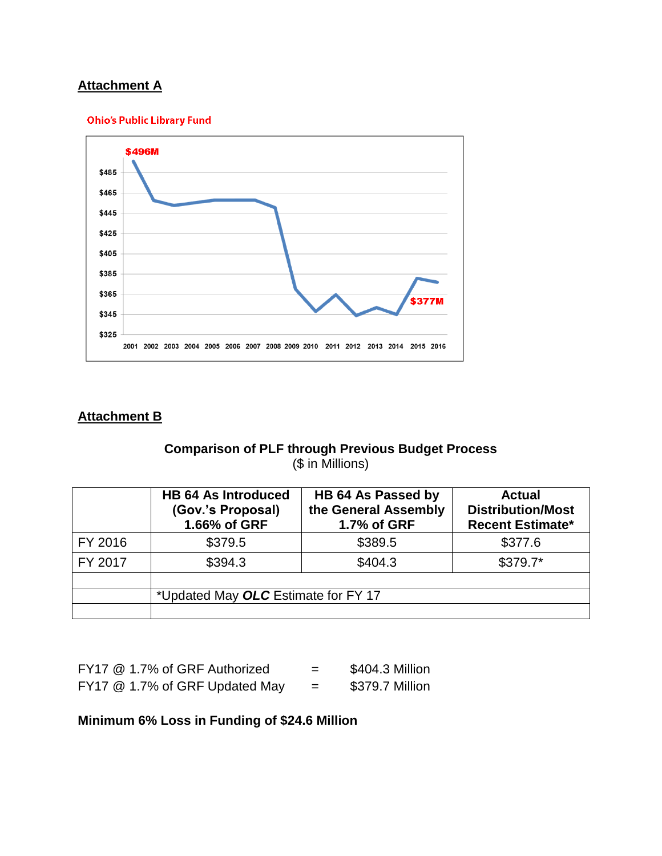# **Attachment A**

#### **Ohio's Public Library Fund**



# **Attachment B**

# **Comparison of PLF through Previous Budget Process** (\$ in Millions)

|         | <b>HB 64 As Introduced</b><br>(Gov.'s Proposal)<br>1.66% of GRF | HB 64 As Passed by<br>the General Assembly<br>1.7% of GRF | <b>Actual</b><br><b>Distribution/Most</b><br><b>Recent Estimate*</b> |  |  |
|---------|-----------------------------------------------------------------|-----------------------------------------------------------|----------------------------------------------------------------------|--|--|
| FY 2016 | \$379.5                                                         | \$389.5                                                   | \$377.6                                                              |  |  |
| FY 2017 | \$394.3                                                         | \$404.3                                                   | $$379.7*$                                                            |  |  |
|         |                                                                 |                                                           |                                                                      |  |  |
|         | *Updated May OLC Estimate for FY 17                             |                                                           |                                                                      |  |  |
|         |                                                                 |                                                           |                                                                      |  |  |

| FY17 @ 1.7% of GRF Authorized  | \$404.3 Million |
|--------------------------------|-----------------|
| FY17 @ 1.7% of GRF Updated May | \$379.7 Million |

## **Minimum 6% Loss in Funding of \$24.6 Million**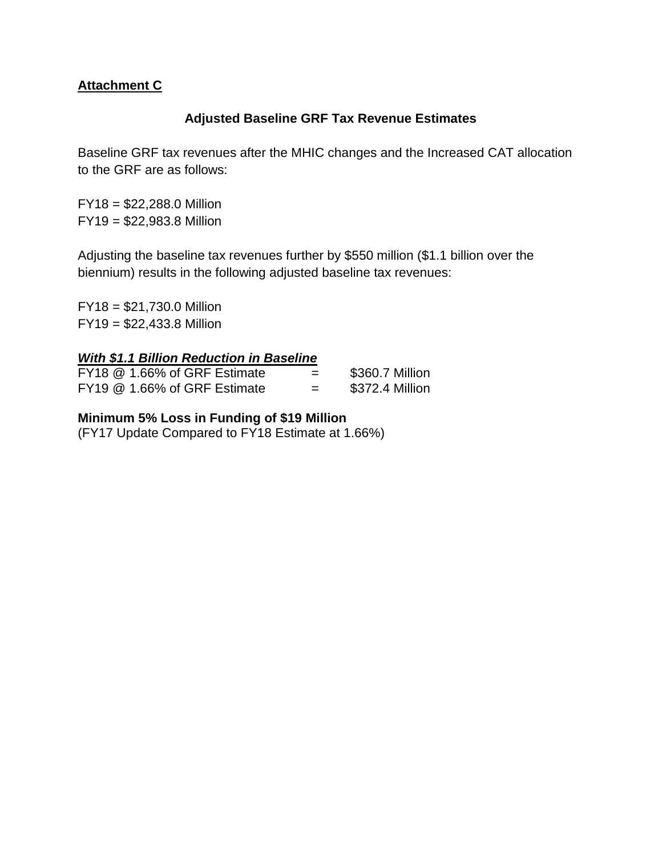# **Attachment C**

# **Adjusted Baseline GRF Tax Revenue Estimates**

Baseline GRF tax revenues after the MHIC changes and the Increased CAT allocation to the GRF are as follows:

FY18 = \$22,288.0 Million FY19 = \$22,983.8 Million

Adjusting the baseline tax revenues further by \$550 million (\$1.1 billion over the biennium) results in the following adjusted baseline tax revenues:

FY18 = \$21,730.0 Million FY19 = \$22,433.8 Million

## *With \$1.1 Billion Reduction in Baseline*

|  | FY18 @ 1.66% of GRF Estimate | - | \$360.7 Million |
|--|------------------------------|---|-----------------|
|  | FY19 @ 1.66% of GRF Estimate | = | \$372.4 Million |

## **Minimum 5% Loss in Funding of \$19 Million**

(FY17 Update Compared to FY18 Estimate at 1.66%)